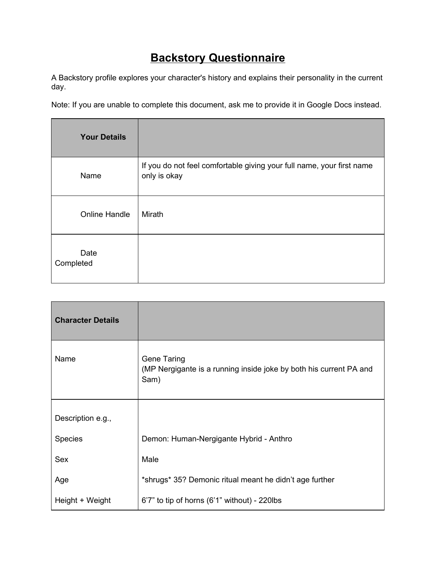## **Backstory Questionnaire**

A Backstory profile explores your character's history and explains their personality in the current day.

Note: If you are unable to complete this document, ask me to provide it in Google Docs instead.

| <b>Your Details</b>  |                                                                                       |
|----------------------|---------------------------------------------------------------------------------------|
| Name                 | If you do not feel comfortable giving your full name, your first name<br>only is okay |
| <b>Online Handle</b> | Mirath                                                                                |
| Date<br>Completed    |                                                                                       |

| <b>Character Details</b> |                                                                                                  |
|--------------------------|--------------------------------------------------------------------------------------------------|
| Name                     | <b>Gene Taring</b><br>(MP Nergigante is a running inside joke by both his current PA and<br>Sam) |
|                          |                                                                                                  |
| Description e.g.,        |                                                                                                  |
| <b>Species</b>           | Demon: Human-Nergigante Hybrid - Anthro                                                          |
| <b>Sex</b>               | Male                                                                                             |
| Age                      | *shrugs* 35? Demonic ritual meant he didn't age further                                          |
| Height + Weight          | $6'7''$ to tip of horns $(6'1''$ without) - 220lbs                                               |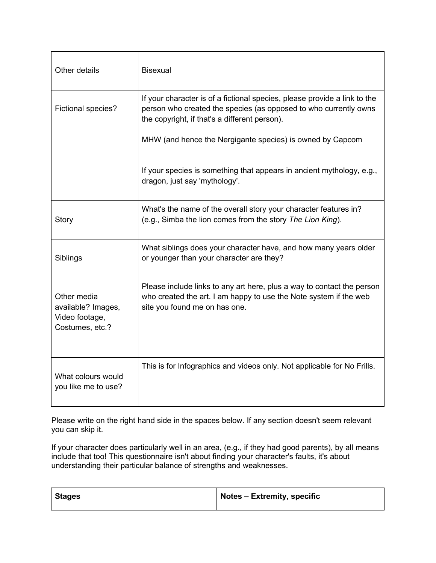| Other details                                                          | <b>Bisexual</b>                                                                                                                                                                                |
|------------------------------------------------------------------------|------------------------------------------------------------------------------------------------------------------------------------------------------------------------------------------------|
| Fictional species?                                                     | If your character is of a fictional species, please provide a link to the<br>person who created the species (as opposed to who currently owns<br>the copyright, if that's a different person). |
|                                                                        | MHW (and hence the Nergigante species) is owned by Capcom                                                                                                                                      |
|                                                                        | If your species is something that appears in ancient mythology, e.g.,<br>dragon, just say 'mythology'.                                                                                         |
| Story                                                                  | What's the name of the overall story your character features in?<br>(e.g., Simba the lion comes from the story The Lion King).                                                                 |
| Siblings                                                               | What siblings does your character have, and how many years older<br>or younger than your character are they?                                                                                   |
| Other media<br>available? Images,<br>Video footage,<br>Costumes, etc.? | Please include links to any art here, plus a way to contact the person<br>who created the art. I am happy to use the Note system if the web<br>site you found me on has one.                   |
| What colours would<br>you like me to use?                              | This is for Infographics and videos only. Not applicable for No Frills.                                                                                                                        |

Please write on the right hand side in the spaces below. If any section doesn't seem relevant you can skip it.

If your character does particularly well in an area, (e.g., if they had good parents), by all means include that too! This questionnaire isn't about finding your character's faults, it's about understanding their particular balance of strengths and weaknesses.

| <b>Stages</b> | $\vert$ Notes – Extremity, specific |
|---------------|-------------------------------------|
|               |                                     |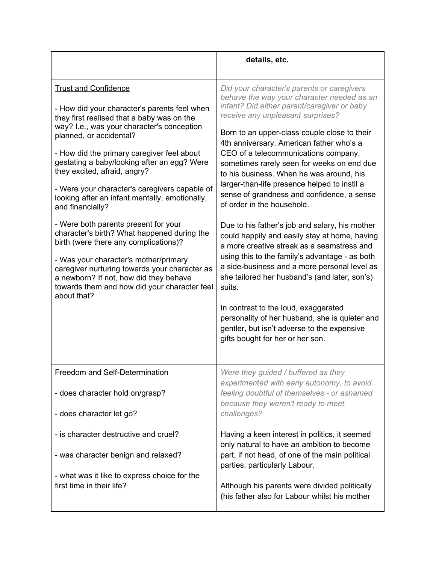|                                                                                                                                                                                                                                                                                                                                                                                                                                                                                                                                                                                                                                                                                                                                                                                           | details, etc.                                                                                                                                                                                                                                                                                                                                                                                                                                                                                                                                                                                                                                                                                                                                                                                                                                                                                                                                                                                                                     |
|-------------------------------------------------------------------------------------------------------------------------------------------------------------------------------------------------------------------------------------------------------------------------------------------------------------------------------------------------------------------------------------------------------------------------------------------------------------------------------------------------------------------------------------------------------------------------------------------------------------------------------------------------------------------------------------------------------------------------------------------------------------------------------------------|-----------------------------------------------------------------------------------------------------------------------------------------------------------------------------------------------------------------------------------------------------------------------------------------------------------------------------------------------------------------------------------------------------------------------------------------------------------------------------------------------------------------------------------------------------------------------------------------------------------------------------------------------------------------------------------------------------------------------------------------------------------------------------------------------------------------------------------------------------------------------------------------------------------------------------------------------------------------------------------------------------------------------------------|
| <b>Trust and Confidence</b><br>- How did your character's parents feel when<br>they first realised that a baby was on the<br>way? I.e., was your character's conception<br>planned, or accidental?<br>- How did the primary caregiver feel about<br>gestating a baby/looking after an egg? Were<br>they excited, afraid, angry?<br>- Were your character's caregivers capable of<br>looking after an infant mentally, emotionally,<br>and financially?<br>- Were both parents present for your<br>character's birth? What happened during the<br>birth (were there any complications)?<br>- Was your character's mother/primary<br>caregiver nurturing towards your character as<br>a newborn? If not, how did they behave<br>towards them and how did your character feel<br>about that? | Did your character's parents or caregivers<br>behave the way your character needed as an<br>infant? Did either parent/caregiver or baby<br>receive any unpleasant surprises?<br>Born to an upper-class couple close to their<br>4th anniversary. American father who's a<br>CEO of a telecommunications company,<br>sometimes rarely seen for weeks on end due<br>to his business. When he was around, his<br>larger-than-life presence helped to instil a<br>sense of grandness and confidence, a sense<br>of order in the household.<br>Due to his father's job and salary, his mother<br>could happily and easily stay at home, having<br>a more creative streak as a seamstress and<br>using this to the family's advantage - as both<br>a side-business and a more personal level as<br>she tailored her husband's (and later, son's)<br>suits.<br>In contrast to the loud, exaggerated<br>personality of her husband, she is quieter and<br>gentler, but isn't adverse to the expensive<br>gifts bought for her or her son. |
| Freedom and Self-Determination<br>- does character hold on/grasp?                                                                                                                                                                                                                                                                                                                                                                                                                                                                                                                                                                                                                                                                                                                         | Were they guided / buffered as they<br>experimented with early autonomy, to avoid<br>feeling doubtful of themselves - or ashamed<br>because they weren't ready to meet                                                                                                                                                                                                                                                                                                                                                                                                                                                                                                                                                                                                                                                                                                                                                                                                                                                            |
| - does character let go?                                                                                                                                                                                                                                                                                                                                                                                                                                                                                                                                                                                                                                                                                                                                                                  | challenges?                                                                                                                                                                                                                                                                                                                                                                                                                                                                                                                                                                                                                                                                                                                                                                                                                                                                                                                                                                                                                       |
| - is character destructive and cruel?<br>- was character benign and relaxed?                                                                                                                                                                                                                                                                                                                                                                                                                                                                                                                                                                                                                                                                                                              | Having a keen interest in politics, it seemed<br>only natural to have an ambition to become<br>part, if not head, of one of the main political<br>parties, particularly Labour.                                                                                                                                                                                                                                                                                                                                                                                                                                                                                                                                                                                                                                                                                                                                                                                                                                                   |
| - what was it like to express choice for the<br>first time in their life?                                                                                                                                                                                                                                                                                                                                                                                                                                                                                                                                                                                                                                                                                                                 | Although his parents were divided politically<br>(his father also for Labour whilst his mother                                                                                                                                                                                                                                                                                                                                                                                                                                                                                                                                                                                                                                                                                                                                                                                                                                                                                                                                    |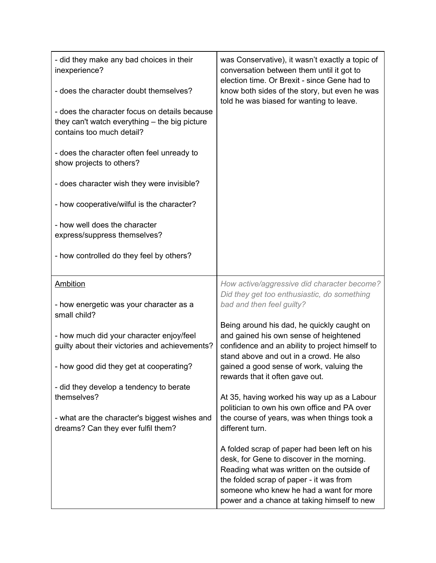| - did they make any bad choices in their<br>inexperience?<br>- does the character doubt themselves?<br>- does the character focus on details because<br>they can't watch everything - the big picture<br>contains too much detail?<br>- does the character often feel unready to<br>show projects to others?<br>- does character wish they were invisible?<br>- how cooperative/wilful is the character?<br>- how well does the character<br>express/suppress themselves?<br>- how controlled do they feel by others? | was Conservative), it wasn't exactly a topic of<br>conversation between them until it got to<br>election time. Or Brexit - since Gene had to<br>know both sides of the story, but even he was<br>told he was biased for wanting to leave.                                     |
|-----------------------------------------------------------------------------------------------------------------------------------------------------------------------------------------------------------------------------------------------------------------------------------------------------------------------------------------------------------------------------------------------------------------------------------------------------------------------------------------------------------------------|-------------------------------------------------------------------------------------------------------------------------------------------------------------------------------------------------------------------------------------------------------------------------------|
| <b>Ambition</b>                                                                                                                                                                                                                                                                                                                                                                                                                                                                                                       | How active/aggressive did character become?<br>Did they get too enthusiastic, do something                                                                                                                                                                                    |
| - how energetic was your character as a<br>small child?                                                                                                                                                                                                                                                                                                                                                                                                                                                               | bad and then feel guilty?                                                                                                                                                                                                                                                     |
| - how much did your character enjoy/feel<br>guilty about their victories and achievements?<br>- how good did they get at cooperating?                                                                                                                                                                                                                                                                                                                                                                                 | Being around his dad, he quickly caught on<br>and gained his own sense of heightened<br>confidence and an ability to project himself to<br>stand above and out in a crowd. He also<br>gained a good sense of work, valuing the                                                |
| - did they develop a tendency to berate                                                                                                                                                                                                                                                                                                                                                                                                                                                                               | rewards that it often gave out.                                                                                                                                                                                                                                               |
| themselves?                                                                                                                                                                                                                                                                                                                                                                                                                                                                                                           | At 35, having worked his way up as a Labour<br>politician to own his own office and PA over                                                                                                                                                                                   |
| - what are the character's biggest wishes and<br>dreams? Can they ever fulfil them?                                                                                                                                                                                                                                                                                                                                                                                                                                   | the course of years, was when things took a<br>different turn.                                                                                                                                                                                                                |
|                                                                                                                                                                                                                                                                                                                                                                                                                                                                                                                       | A folded scrap of paper had been left on his<br>desk, for Gene to discover in the morning.<br>Reading what was written on the outside of<br>the folded scrap of paper - it was from<br>someone who knew he had a want for more<br>power and a chance at taking himself to new |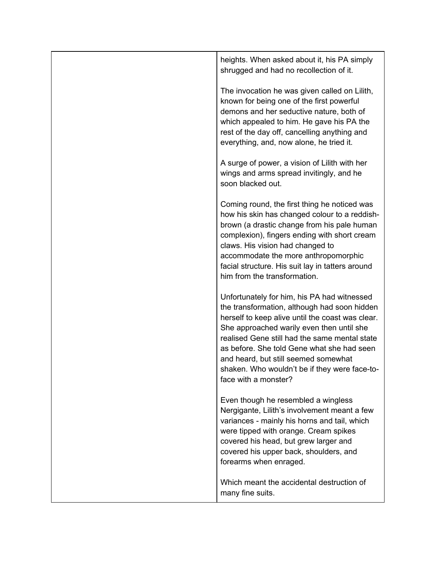| heights. When asked about it, his PA simply<br>shrugged and had no recollection of it.                                                                                                                                                                                                                                                                                                                       |
|--------------------------------------------------------------------------------------------------------------------------------------------------------------------------------------------------------------------------------------------------------------------------------------------------------------------------------------------------------------------------------------------------------------|
| The invocation he was given called on Lilith,<br>known for being one of the first powerful<br>demons and her seductive nature, both of<br>which appealed to him. He gave his PA the<br>rest of the day off, cancelling anything and<br>everything, and, now alone, he tried it.                                                                                                                              |
| A surge of power, a vision of Lilith with her<br>wings and arms spread invitingly, and he<br>soon blacked out.                                                                                                                                                                                                                                                                                               |
| Coming round, the first thing he noticed was<br>how his skin has changed colour to a reddish-<br>brown (a drastic change from his pale human<br>complexion), fingers ending with short cream<br>claws. His vision had changed to<br>accommodate the more anthropomorphic<br>facial structure. His suit lay in tatters around<br>him from the transformation.                                                 |
| Unfortunately for him, his PA had witnessed<br>the transformation, although had soon hidden<br>herself to keep alive until the coast was clear.<br>She approached warily even then until she<br>realised Gene still had the same mental state<br>as before. She told Gene what she had seen<br>and heard, but still seemed somewhat<br>shaken. Who wouldn't be if they were face-to-<br>face with a monster? |
| Even though he resembled a wingless<br>Nergigante, Lilith's involvement meant a few<br>variances - mainly his horns and tail, which<br>were tipped with orange. Cream spikes<br>covered his head, but grew larger and<br>covered his upper back, shoulders, and<br>forearms when enraged.                                                                                                                    |
| Which meant the accidental destruction of<br>many fine suits.                                                                                                                                                                                                                                                                                                                                                |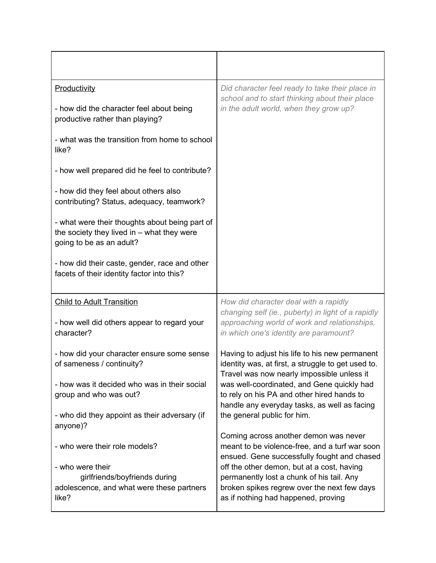| Productivity                                                                                                               | Did character feel ready to take their place in                                                                                                                               |  |
|----------------------------------------------------------------------------------------------------------------------------|-------------------------------------------------------------------------------------------------------------------------------------------------------------------------------|--|
| - how did the character feel about being<br>productive rather than playing?                                                | school and to start thinking about their place<br>in the adult world, when they grow up?                                                                                      |  |
| - what was the transition from home to school<br>like?                                                                     |                                                                                                                                                                               |  |
| - how well prepared did he feel to contribute?                                                                             |                                                                                                                                                                               |  |
| - how did they feel about others also<br>contributing? Status, adequacy, teamwork?                                         |                                                                                                                                                                               |  |
| - what were their thoughts about being part of<br>the society they lived in $-$ what they were<br>going to be as an adult? |                                                                                                                                                                               |  |
| - how did their caste, gender, race and other<br>facets of their identity factor into this?                                |                                                                                                                                                                               |  |
| <b>Child to Adult Transition</b>                                                                                           | How did character deal with a rapidly<br>changing self (ie., puberty) in light of a rapidly                                                                                   |  |
| - how well did others appear to regard your<br>character?                                                                  | approaching world of work and relationships,<br>in which one's identity are paramount?                                                                                        |  |
| - how did your character ensure some sense<br>of sameness / continuity?                                                    | Having to adjust his life to his new permanent<br>identity was, at first, a struggle to get used to.<br>Travel was now nearly impossible unless it                            |  |
| - how was it decided who was in their social<br>group and who was out?                                                     | was well-coordinated, and Gene quickly had<br>to rely on his PA and other hired hands to<br>handle any everyday tasks, as well as facing                                      |  |
| - who did they appoint as their adversary (if<br>anyone)?                                                                  | the general public for him.                                                                                                                                                   |  |
| - who were their role models?                                                                                              | Coming across another demon was never<br>meant to be violence-free, and a turf war soon<br>ensued. Gene successfully fought and chased                                        |  |
| - who were their<br>girlfriends/boyfriends during<br>adolescence, and what were these partners<br>like?                    | off the other demon, but at a cost, having<br>permanently lost a chunk of his tail. Any<br>broken spikes regrew over the next few days<br>as if nothing had happened, proving |  |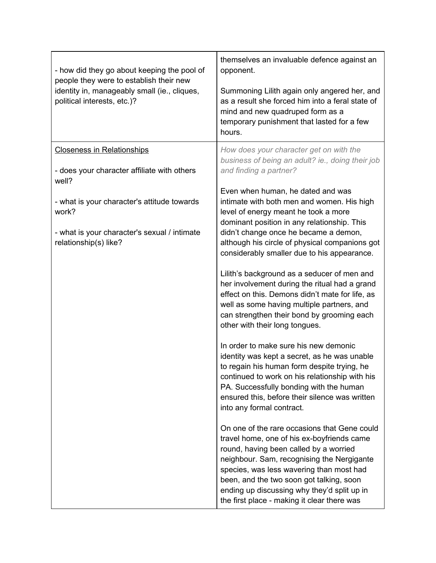| - how did they go about keeping the pool of<br>people they were to establish their new<br>identity in, manageably small (ie., cliques,<br>political interests, etc.)? | themselves an invaluable defence against an<br>opponent.<br>Summoning Lilith again only angered her, and<br>as a result she forced him into a feral state of<br>mind and new quadruped form as a<br>temporary punishment that lasted for a few<br>hours.                                                                                                                 |
|-----------------------------------------------------------------------------------------------------------------------------------------------------------------------|--------------------------------------------------------------------------------------------------------------------------------------------------------------------------------------------------------------------------------------------------------------------------------------------------------------------------------------------------------------------------|
| <b>Closeness in Relationships</b><br>- does your character affiliate with others                                                                                      | How does your character get on with the<br>business of being an adult? ie., doing their job<br>and finding a partner?                                                                                                                                                                                                                                                    |
| well?<br>- what is your character's attitude towards<br>work?<br>- what is your character's sexual / intimate<br>relationship(s) like?                                | Even when human, he dated and was<br>intimate with both men and women. His high<br>level of energy meant he took a more<br>dominant position in any relationship. This<br>didn't change once he became a demon,<br>although his circle of physical companions got<br>considerably smaller due to his appearance.                                                         |
|                                                                                                                                                                       | Lilith's background as a seducer of men and<br>her involvement during the ritual had a grand<br>effect on this. Demons didn't mate for life, as<br>well as some having multiple partners, and<br>can strengthen their bond by grooming each<br>other with their long tongues.                                                                                            |
|                                                                                                                                                                       | In order to make sure his new demonic<br>identity was kept a secret, as he was unable<br>to regain his human form despite trying, he<br>continued to work on his relationship with his<br>PA. Successfully bonding with the human<br>ensured this, before their silence was written<br>into any formal contract.                                                         |
|                                                                                                                                                                       | On one of the rare occasions that Gene could<br>travel home, one of his ex-boyfriends came<br>round, having been called by a worried<br>neighbour. Sam, recognising the Nergigante<br>species, was less wavering than most had<br>been, and the two soon got talking, soon<br>ending up discussing why they'd split up in<br>the first place - making it clear there was |